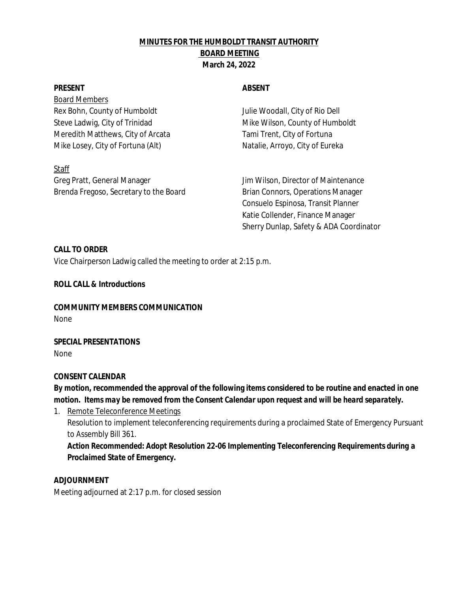# **MINUTES FOR THE HUMBOLDT TRANSIT AUTHORITY BOARD MEETING March 24, 2022**

Board Members Rex Bohn, County of Humboldt Julie Woodall, City of Rio Dell Steve Ladwig, City of Trinidad Mike Wilson, County of Humboldt Meredith Matthews, City of Arcata Tami Trent, City of Fortuna Mike Losey, City of Fortuna (Alt) Natalie, Arroyo, City of Eureka

**Staff** Greg Pratt, General Manager Jim Wilson, Director of Maintenance Brenda Fregoso, Secretary to the Board Brian Connors, Operations Manager

## **PRESENT ABSENT**

Consuelo Espinosa, Transit Planner Katie Collender, Finance Manager Sherry Dunlap, Safety & ADA Coordinator

**CALL TO ORDER** Vice Chairperson Ladwig called the meeting to order at 2:15 p.m.

**ROLL CALL & Introductions**

**COMMUNITY MEMBERS COMMUNICATION** None

**SPECIAL PRESENTATIONS** None

### **CONSENT CALENDAR**

**By motion, recommended the approval of the following items considered to be routine and enacted in one** *motion. Items may be removed from the Consent Calendar upon request and will be heard separately.*

1. Remote Teleconference Meetings Resolution to implement teleconferencing requirements during a proclaimed State of Emergency Pursuant to Assembly Bill 361.

*Action Recommended: Adopt Resolution 22-06 Implementing Teleconferencing Requirements during a Proclaimed State of Emergency.*

**ADJOURNMENT** Meeting adjourned at 2:17 p.m. for closed session